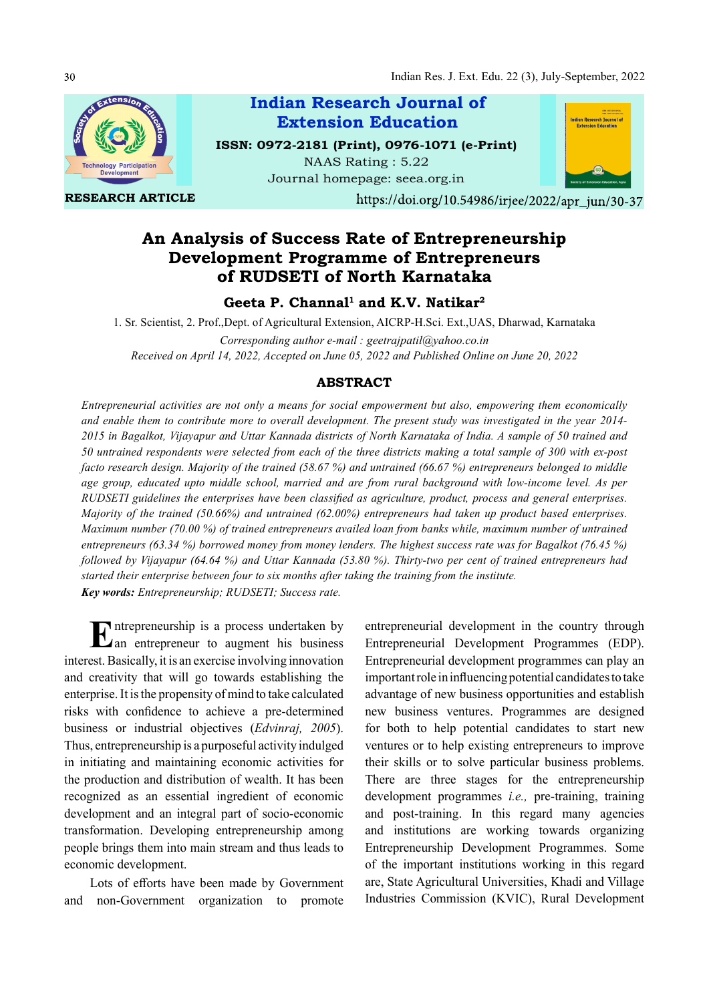

RESEARCH ARTICLE



Journal homepage: seea.org.in

https://doi.org/10.54986/irjee/2022/apr\_jun/30-37

# An Analysis of Success Rate of Entrepreneurship Development Programme of Entrepreneurs of RUDSETI of North Karnataka

# Geeta P. Channal<sup>1</sup> and K.V. Natikar<sup>2</sup>

1. Sr. Scientist, 2. Prof.,Dept. of Agricultural Extension, AICRP-H.Sci. Ext.,UAS, Dharwad, Karnataka Corresponding author e-mail : geetrajpatil@yahoo.co.in Received on April 14, 2022, Accepted on June 05, 2022 and Published Online on June 20, 2022

# ABSTRACT

Entrepreneurial activities are not only a means for social empowerment but also, empowering them economically and enable them to contribute more to overall development. The present study was investigated in the year 2014- 2015 in Bagalkot, Vijayapur and Uttar Kannada districts of North Karnataka of India. A sample of 50 trained and 50 untrained respondents were selected from each of the three districts making a total sample of 300 with ex-post facto research design. Majority of the trained (58.67 %) and untrained (66.67 %) entrepreneurs belonged to middle age group, educated upto middle school, married and are from rural background with low-income level. As per RUDSETI guidelines the enterprises have been classified as agriculture, product, process and general enterprises. Majority of the trained (50.66%) and untrained (62.00%) entrepreneurs had taken up product based enterprises. Maximum number (70.00 %) of trained entrepreneurs availed loan from banks while, maximum number of untrained entrepreneurs (63.34 %) borrowed money from money lenders. The highest success rate was for Bagalkot (76.45 %) followed by Vijayapur (64.64 %) and Uttar Kannada (53.80 %). Thirty-two per cent of trained entrepreneurs had started their enterprise between four to six months after taking the training from the institute. Key words: Entrepreneurship; RUDSETI; Success rate.

Entrepreneurship is a process undertaken by entrepreneurial<br>
Lan entrepreneur to augment his business Entrepreneuria an entrepreneur to augment his business interest. Basically, it is an exercise involving innovation and creativity that will go towards establishing the enterprise. It is the propensity of mind to take calculated risks with confidence to achieve a pre-determined business or industrial objectives (Edvinraj, 2005). Thus, entrepreneurship is a purposeful activity indulged in initiating and maintaining economic activities for the production and distribution of wealth. It has been recognized as an essential ingredient of economic development and an integral part of socio-economic transformation. Developing entrepreneurship among people brings them into main stream and thus leads to economic development.

Lots of efforts have been made by Government and non-Government organization to promote

entrepreneurial development in the country through Entrepreneurial Development Programmes (EDP). Entrepreneurial development programmes can play an important role in influencing potential candidates to take advantage of new business opportunities and establish new business ventures. Programmes are designed for both to help potential candidates to start new ventures or to help existing entrepreneurs to improve their skills or to solve particular business problems. There are three stages for the entrepreneurship development programmes *i.e.*, pre-training, training and post-training. In this regard many agencies and institutions are working towards organizing Entrepreneurship Development Programmes. Some of the important institutions working in this regard are, State Agricultural Universities, Khadi and Village Industries Commission (KVIC), Rural Development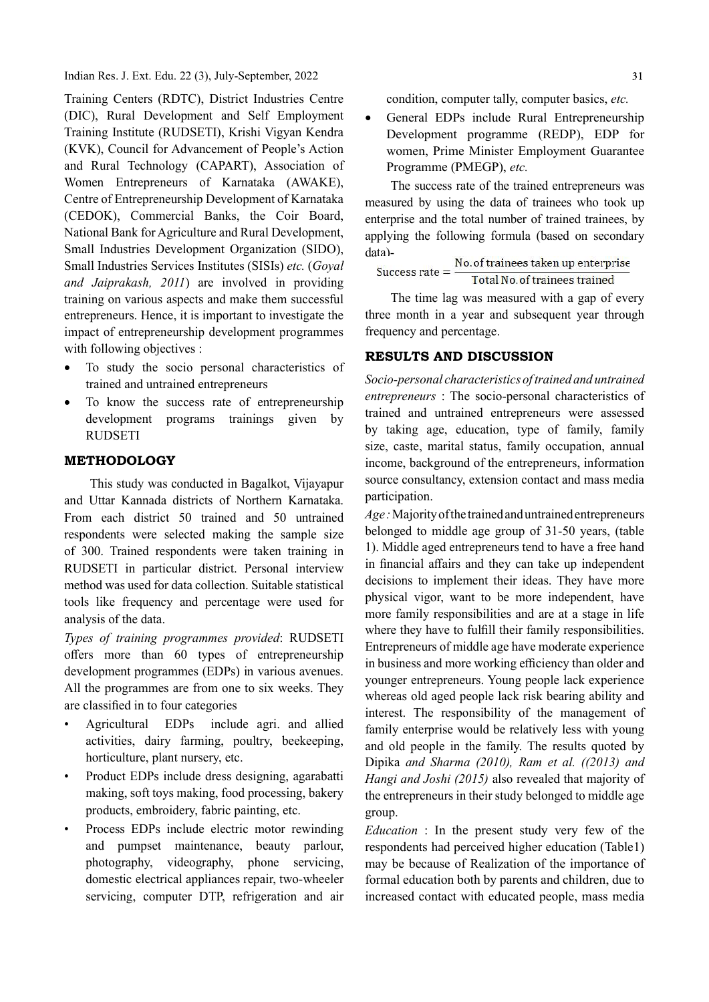Training Centers (RDTC), District Industries Centre (DIC), Rural Development and Self Employment Training Institute (RUDSETI), Krishi Vigyan Kendra (KVK), Council for Advancement of People's Action and Rural Technology (CAPART), Association of Women Entrepreneurs of Karnataka (AWAKE), Centre of Entrepreneurship Development of Karnataka (CEDOK), Commercial Banks, the Coir Board, National Bank for Agriculture and Rural Development, Small Industries Development Organization (SIDO), data)-Small Industries Services Institutes (SISIs) etc. (Goyal and Jaiprakash, 2011) are involved in providing training on various aspects and make them successful entrepreneurs. Hence, it is important to investigate the impact of entrepreneurship development programmes with following objectives :

- To study the socio personal characteristics of trained and untrained entrepreneurs
- To know the success rate of entrepreneurship development programs trainings given by RUDSETI

### METHODOLOGY

This study was conducted in Bagalkot, Vijayapur and Uttar Kannada districts of Northern Karnataka. From each district 50 trained and 50 untrained respondents were selected making the sample size of 300. Trained respondents were taken training in RUDSETI in particular district. Personal interview method was used for data collection. Suitable statistical tools like frequency and percentage were used for analysis of the data.

Types of training programmes provided: RUDSETI offers more than 60 types of entrepreneurship development programmes (EDPs) in various avenues. All the programmes are from one to six weeks. They are classified in to four categories

- Agricultural EDPs include agri. and allied activities, dairy farming, poultry, beekeeping, horticulture, plant nursery, etc.
- Product EDPs include dress designing, agarabatti making, soft toys making, food processing, bakery products, embroidery, fabric painting, etc.
- Process EDPs include electric motor rewinding and pumpset maintenance, beauty parlour, photography, videography, phone servicing, domestic electrical appliances repair, two-wheeler servicing, computer DTP, refrigeration and air

condition, computer tally, computer basics, etc.

 General EDPs include Rural Entrepreneurship Development programme (REDP), EDP for women, Prime Minister Employment Guarantee Programme (PMEGP), etc.

The success rate of the trained entrepreneurs was measured by using the data of trainees who took up enterprise and the total number of trained trainees, by applying the following formula (based on secondary data)-

$$
Success rate = \frac{No. of trainees taken up enterprise}{Total No. of trainees trained}
$$

The time lag was measured with a gap of every three month in a year and subsequent year through frequency and percentage.

# RESULTS AND DISCUSSION

Socio-personal characteristics of trained and untrained entrepreneurs : The socio-personal characteristics of trained and untrained entrepreneurs were assessed by taking age, education, type of family, family size, caste, marital status, family occupation, annual income, background of the entrepreneurs, information source consultancy, extension contact and mass media participation.

Age : Majority of the trained and untrained entrepreneurs belonged to middle age group of 31-50 years, (table 1). Middle aged entrepreneurs tend to have a free hand in financial affairs and they can take up independent decisions to implement their ideas. They have more physical vigor, want to be more independent, have more family responsibilities and are at a stage in life where they have to fulfill their family responsibilities. Entrepreneurs of middle age have moderate experience in business and more working efficiency than older and younger entrepreneurs. Young people lack experience whereas old aged people lack risk bearing ability and interest. The responsibility of the management of family enterprise would be relatively less with young and old people in the family. The results quoted by Dipika and Sharma (2010), Ram et al. ((2013) and Hangi and Joshi (2015) also revealed that majority of the entrepreneurs in their study belonged to middle age group.

Education : In the present study very few of the respondents had perceived higher education (Table1) may be because of Realization of the importance of formal education both by parents and children, due to increased contact with educated people, mass media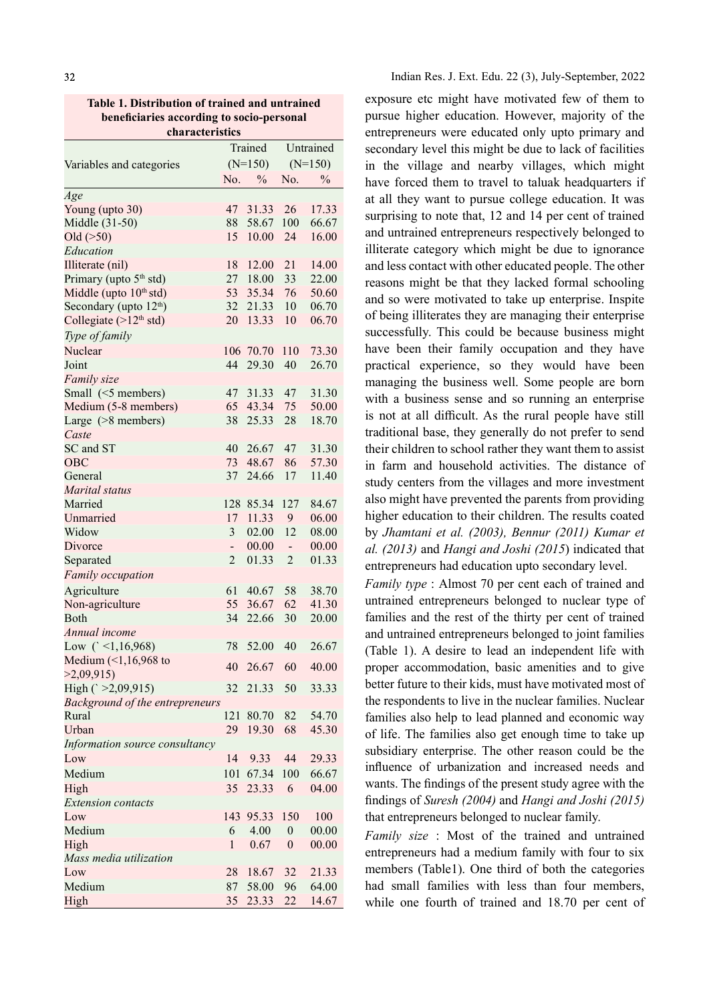Table 1. Distribution of trained and untrained beneficiaries according to socio-personal characteristics

|                                    | Trained        |           | Untrained                |               |
|------------------------------------|----------------|-----------|--------------------------|---------------|
| Variables and categories           |                | $(N=150)$ |                          | $(N=150)$     |
|                                    | No.            | $\%$      | No.                      | $\frac{0}{0}$ |
| Age                                |                |           |                          |               |
| Young (upto 30)                    | 47             | 31.33     | 26                       | 17.33         |
| Middle (31-50)                     | 88             | 58.67     | 100                      | 66.67         |
| Old $($ >50)                       | 15             | 10.00     | 24                       | 16.00         |
| Education                          |                |           |                          |               |
| Illiterate (nil)                   | 18             | 12.00     | 21                       | 14.00         |
| Primary (upto 5 <sup>th</sup> std) | 27             | 18.00     | 33                       | 22.00         |
| Middle (upto 10 <sup>th</sup> std) | 53             | 35.34     | 76                       | 50.60         |
| Secondary (upto 12 <sup>th</sup> ) | 32             | 21.33     | 10                       | 06.70         |
| Collegiate $(>12th std)$           | 20             | 13.33     | 10                       | 06.70         |
|                                    |                |           |                          |               |
| Type of family                     |                |           |                          |               |
| Nuclear                            | 106            | 70.70     | 110                      | 73.30         |
| Joint                              | 44             | 29.30     | 40                       | 26.70         |
| Family size                        |                |           |                          |               |
| Small (<5 members)                 | 47             | 31.33     | 47                       | 31.30         |
| Medium (5-8 members)               | 65             | 43.34     | 75                       | 50.00         |
| Large (>8 members)                 | 38             | 25.33     | 28                       | 18.70         |
| Caste                              |                |           |                          |               |
| SC and ST                          | 40             | 26.67     | 47                       | 31.30         |
| <b>OBC</b>                         | 73             | 48.67     | 86                       | 57.30         |
| General                            | 37             | 24.66     | 17                       | 11.40         |
| Marital status                     |                |           |                          |               |
| Married                            | 128            | 85.34     | 127                      | 84.67         |
| Unmarried                          | 17             | 11.33     | 9                        | 06.00         |
| Widow                              | $\mathfrak{Z}$ | 02.00     | 12                       | 08.00         |
| Divorce                            | -              | 00.00     | $\overline{\phantom{0}}$ | 00.00         |
| Separated                          | $\overline{2}$ | 01.33     | $\overline{2}$           | 01.33         |
|                                    |                |           |                          |               |
| Family occupation                  |                |           |                          |               |
| Agriculture                        | 61             | 40.67     | 58                       | 38.70         |
| Non-agriculture                    | 55             | 36.67     | 62                       | 41.30         |
| Both                               | 34             | 22.66     | 30                       | 20.00         |
| Annual income                      |                |           |                          |               |
| Low $(' < 1, 16, 968)$             | 78             | 52.00     | 40                       | 26.67         |
| Medium $($ 1, 16, 968) to          | 40             | 26.67     | 60                       | 40.00         |
| >2,09,915                          |                |           |                          |               |
| High $(' >2,09,915)$               | 32             | 21.33     | 50                       | 33.33         |
| Background of the entrepreneurs    |                |           |                          |               |
| Rural                              | 121            | 80.70     | 82                       | 54.70         |
| Urban                              | 29             | 19.30     | 68                       | 45.30         |
| Information source consultancy     |                |           |                          |               |
| Low                                | 14             | 9.33      | 44                       | 29.33         |
| Medium                             | 101            | 67.34     | 100                      | 66.67         |
| High                               | 35             | 23.33     | 6                        | 04.00         |
| <b>Extension</b> contacts          |                |           |                          |               |
| Low                                | 143            | 95.33     | 150                      | 100           |
| Medium                             | 6              | 4.00      | $\boldsymbol{0}$         | 00.00         |
| High                               | 1              | 0.67      | $\boldsymbol{0}$         | 00.00         |
| Mass media utilization             |                |           |                          |               |
| Low                                |                |           |                          |               |
|                                    | 28             | 18.67     | 32                       | 21.33         |
| Medium                             | 87             | 58.00     | 96                       | 64.00         |
| High                               | 35             | 23.33     | 22                       | 14.67         |

exposure etc might have motivated few of them to pursue higher education. However, majority of the entrepreneurs were educated only upto primary and secondary level this might be due to lack of facilities in the village and nearby villages, which might have forced them to travel to taluak headquarters if at all they want to pursue college education. It was surprising to note that, 12 and 14 per cent of trained and untrained entrepreneurs respectively belonged to illiterate category which might be due to ignorance and less contact with other educated people. The other reasons might be that they lacked formal schooling and so were motivated to take up enterprise. Inspite of being illiterates they are managing their enterprise successfully. This could be because business might have been their family occupation and they have practical experience, so they would have been managing the business well. Some people are born with a business sense and so running an enterprise is not at all difficult. As the rural people have still traditional base, they generally do not prefer to send their children to school rather they want them to assist in farm and household activities. The distance of study centers from the villages and more investment also might have prevented the parents from providing higher education to their children. The results coated by Jhamtani et al. (2003), Bennur (2011) Kumar et al. (2013) and Hangi and Joshi (2015) indicated that entrepreneurs had education upto secondary level.

Family type : Almost 70 per cent each of trained and untrained entrepreneurs belonged to nuclear type of families and the rest of the thirty per cent of trained and untrained entrepreneurs belonged to joint families (Table 1). A desire to lead an independent life with proper accommodation, basic amenities and to give better future to their kids, must have motivated most of the respondents to live in the nuclear families. Nuclear families also help to lead planned and economic way of life. The families also get enough time to take up subsidiary enterprise. The other reason could be the influence of urbanization and increased needs and wants. The findings of the present study agree with the findings of Suresh (2004) and Hangi and Joshi (2015) that entrepreneurs belonged to nuclear family.

Family size : Most of the trained and untrained entrepreneurs had a medium family with four to six members (Table1). One third of both the categories had small families with less than four members, while one fourth of trained and 18.70 per cent of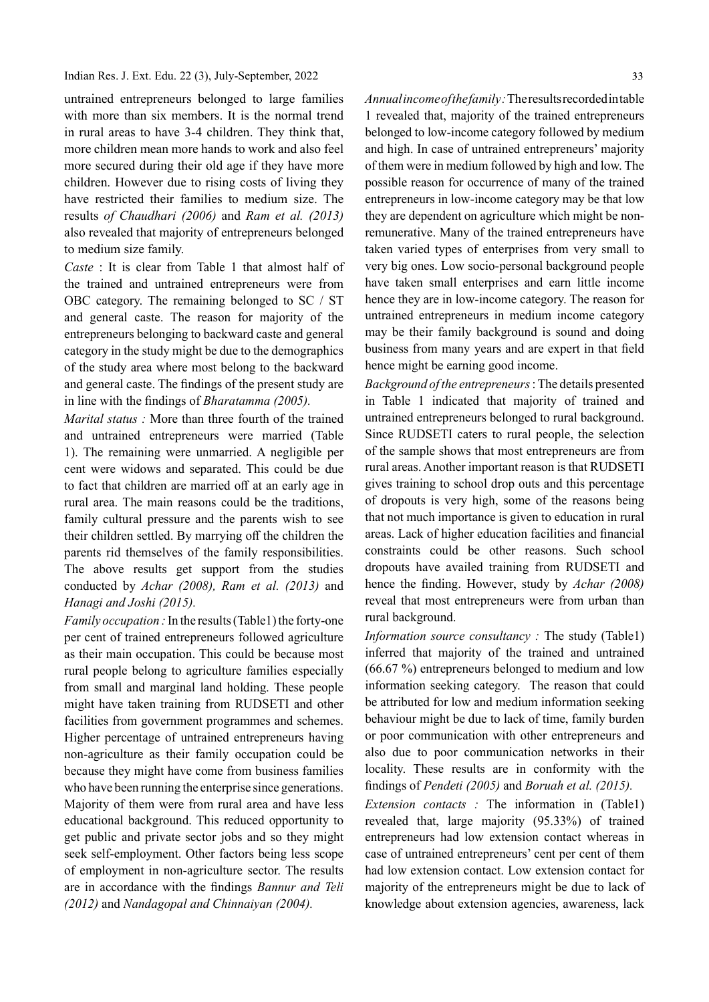untrained entrepreneurs belonged to large families with more than six members. It is the normal trend in rural areas to have 3-4 children. They think that, more children mean more hands to work and also feel more secured during their old age if they have more children. However due to rising costs of living they have restricted their families to medium size. The results of Chaudhari (2006) and Ram et al. (2013) also revealed that majority of entrepreneurs belonged to medium size family.

Caste : It is clear from Table 1 that almost half of the trained and untrained entrepreneurs were from OBC category. The remaining belonged to SC / ST and general caste. The reason for majority of the entrepreneurs belonging to backward caste and general category in the study might be due to the demographics of the study area where most belong to the backward and general caste. The findings of the present study are in line with the findings of *Bharatamma (2005)*.

Marital status : More than three fourth of the trained and untrained entrepreneurs were married (Table 1). The remaining were unmarried. A negligible per cent were widows and separated. This could be due to fact that children are married off at an early age in rural area. The main reasons could be the traditions, family cultural pressure and the parents wish to see their children settled. By marrying off the children the parents rid themselves of the family responsibilities. The above results get support from the studies conducted by Achar (2008), Ram et al. (2013) and Hanagi and Joshi (2015).

Family occupation : In the results (Table1) the forty-one per cent of trained entrepreneurs followed agriculture as their main occupation. This could be because most rural people belong to agriculture families especially from small and marginal land holding. These people might have taken training from RUDSETI and other facilities from government programmes and schemes. Higher percentage of untrained entrepreneurs having non-agriculture as their family occupation could be because they might have come from business families who have been running the enterprise since generations. Majority of them were from rural area and have less educational background. This reduced opportunity to get public and private sector jobs and so they might seek self-employment. Other factors being less scope of employment in non-agriculture sector. The results are in accordance with the findings Bannur and Teli (2012) and Nandagopal and Chinnaiyan (2004).

Annual income of the family : The results recorded in table 1 revealed that, majority of the trained entrepreneurs belonged to low-income category followed by medium and high. In case of untrained entrepreneurs' majority of them were in medium followed by high and low. The possible reason for occurrence of many of the trained entrepreneurs in low-income category may be that low they are dependent on agriculture which might be nonremunerative. Many of the trained entrepreneurs have taken varied types of enterprises from very small to very big ones. Low socio-personal background people have taken small enterprises and earn little income hence they are in low-income category. The reason for untrained entrepreneurs in medium income category may be their family background is sound and doing business from many years and are expert in that field hence might be earning good income.

Background of the entrepreneurs : The details presented in Table 1 indicated that majority of trained and untrained entrepreneurs belonged to rural background. Since RUDSETI caters to rural people, the selection of the sample shows that most entrepreneurs are from rural areas. Another important reason is that RUDSETI gives training to school drop outs and this percentage of dropouts is very high, some of the reasons being that not much importance is given to education in rural areas. Lack of higher education facilities and financial constraints could be other reasons. Such school dropouts have availed training from RUDSETI and hence the finding. However, study by Achar (2008) reveal that most entrepreneurs were from urban than rural background.

Information source consultancy : The study (Table1) inferred that majority of the trained and untrained (66.67 %) entrepreneurs belonged to medium and low information seeking category. The reason that could be attributed for low and medium information seeking behaviour might be due to lack of time, family burden or poor communication with other entrepreneurs and also due to poor communication networks in their locality. These results are in conformity with the findings of Pendeti (2005) and Boruah et al. (2015).

Extension contacts : The information in (Table1) revealed that, large majority (95.33%) of trained entrepreneurs had low extension contact whereas in case of untrained entrepreneurs' cent per cent of them had low extension contact. Low extension contact for majority of the entrepreneurs might be due to lack of knowledge about extension agencies, awareness, lack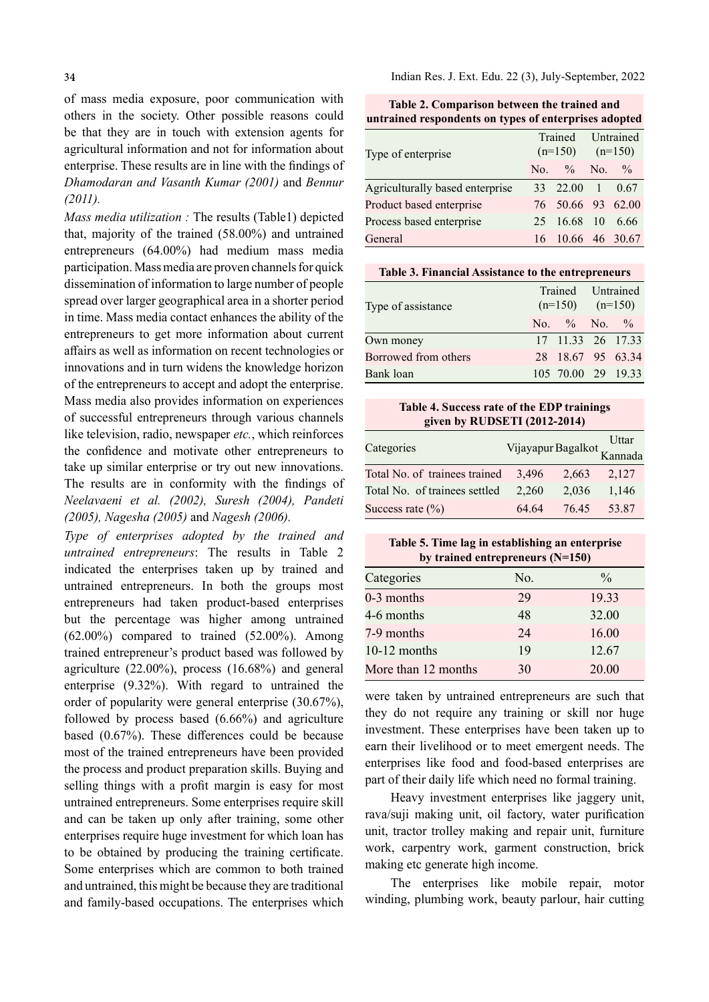of mass media exposure, poor communication with others in the society. Other possible reasons could be that they are in touch with extension agents for agricultural information and not for information about enterprise. These results are in line with the findings of Dhamodaran and Vasanth Kumar (2001) and Bennur (2011).

Mass media utilization : The results (Table1) depicted that, majority of the trained (58.00%) and untrained entrepreneurs (64.00%) had medium mass media participation. Mass media are proven channels for quick dissemination of information to large number of people spread over larger geographical area in a shorter period in time. Mass media contact enhances the ability of the entrepreneurs to get more information about current affairs as well as information on recent technologies or innovations and in turn widens the knowledge horizon of the entrepreneurs to accept and adopt the enterprise. Mass media also provides information on experiences of successful entrepreneurs through various channels like television, radio, newspaper *etc.*, which reinforces the confidence and motivate other entrepreneurs to take up similar enterprise or try out new innovations. The results are in conformity with the findings of Neelavaeni et al. (2002), Suresh (2004), Pandeti (2005), Nagesha (2005) and Nagesh (2006).

Type of enterprises adopted by the trained and untrained entrepreneurs: The results in Table 2 indicated the enterprises taken up by trained and untrained entrepreneurs. In both the groups most entrepreneurs had taken product-based enterprises but the percentage was higher among untrained (62.00%) compared to trained (52.00%). Among trained entrepreneur's product based was followed by agriculture (22.00%), process (16.68%) and general enterprise (9.32%). With regard to untrained the order of popularity were general enterprise (30.67%), followed by process based (6.66%) and agriculture based  $(0.67%)$ . These differences could be because most of the trained entrepreneurs have been provided the process and product preparation skills. Buying and selling things with a profit margin is easy for most untrained entrepreneurs. Some enterprises require skill and can be taken up only after training, some other enterprises require huge investment for which loan has to be obtained by producing the training certificate. Some enterprises which are common to both trained and untrained, this might be because they are traditional and family-based occupations. The enterprises which

Indian Res. J. Ext. Edu. 22 (3), July-September, 2022

|                                                       | <b>Table 2. Comparison between the trained and</b> |  |  |  |  |
|-------------------------------------------------------|----------------------------------------------------|--|--|--|--|
| untrained respondents on types of enterprises adopted |                                                    |  |  |  |  |

| Type of enterprise              |  |                   | Trained Untrained<br>$(n=150)$ $(n=150)$ |      |
|---------------------------------|--|-------------------|------------------------------------------|------|
|                                 |  | No. $\%$ No. $\%$ |                                          |      |
| Agriculturally based enterprise |  | 33 22.00 1 0.67   |                                          |      |
| Product based enterprise        |  | 76 50.66 93 62.00 |                                          |      |
| Process based enterprise        |  | 25 16.68 10       |                                          | 6.66 |
| General                         |  | 16 10.66 46 30.67 |                                          |      |

### Table 3. Financial Assistance to the entrepreneurs

| Type of assistance   |                    | Trained Untrained<br>$(n=150)$ $(n=150)$ |  |
|----------------------|--------------------|------------------------------------------|--|
|                      | No. $\%$ No. $\%$  |                                          |  |
| Own money            | 17 11.33 26 17.33  |                                          |  |
| Borrowed from others | 28 18.67 95 63.34  |                                          |  |
| Bank loan            | 105 70.00 29 19.33 |                                          |  |

### Table 4. Success rate of the EDP trainings given by RUDSETI (2012-2014)

| Categories                          | Vijayapur Bagalkot Kannada |       |       |
|-------------------------------------|----------------------------|-------|-------|
| Total No. of trainees trained 3,496 |                            | 2.663 | 2.127 |
| Total No. of trainees settled       | 2.260                      | 2.036 | 1.146 |
| Success rate $(\% )$                | 64.64                      | 76.45 | 53.87 |

### Table 5. Time lag in establishing an enterprise by trained entrepreneurs (N=150)

| Categories          | No. | $\frac{0}{0}$ |
|---------------------|-----|---------------|
| 0-3 months          | 29  | 19.33         |
| 4-6 months          | 48  | 32.00         |
| 7-9 months          | 24  | 16.00         |
| $10-12$ months      | 19  | 12.67         |
| More than 12 months | 30  | 20.00         |

were taken by untrained entrepreneurs are such that they do not require any training or skill nor huge investment. These enterprises have been taken up to earn their livelihood or to meet emergent needs. The enterprises like food and food-based enterprises are part of their daily life which need no formal training.

Heavy investment enterprises like jaggery unit, rava/suji making unit, oil factory, water purification unit, tractor trolley making and repair unit, furniture work, carpentry work, garment construction, brick making etc generate high income.

The enterprises like mobile repair, motor winding, plumbing work, beauty parlour, hair cutting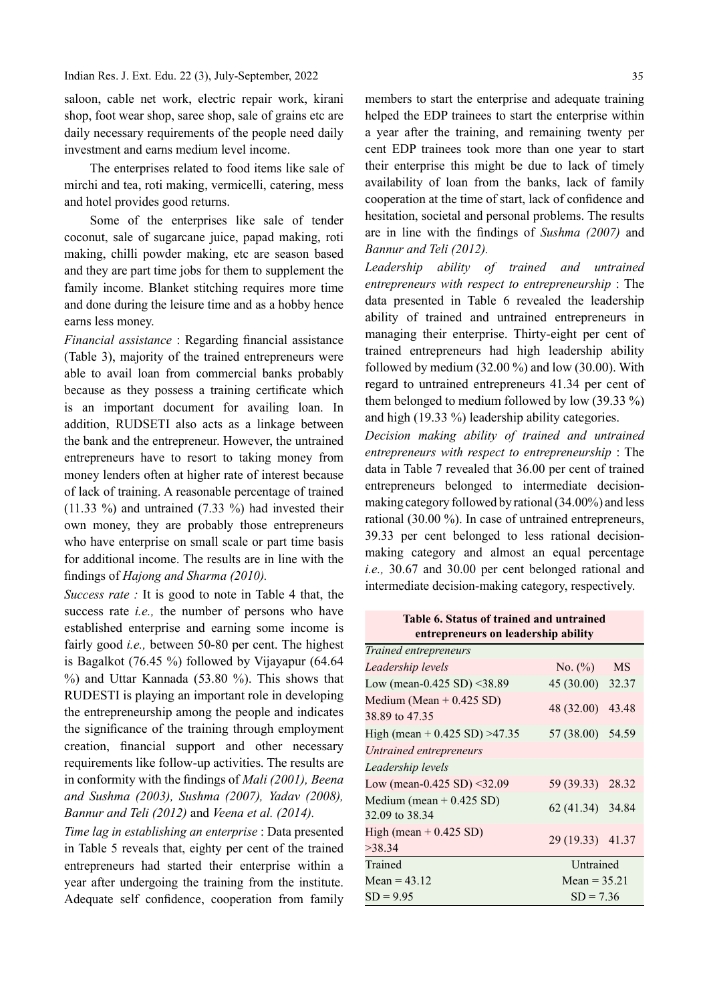saloon, cable net work, electric repair work, kirani shop, foot wear shop, saree shop, sale of grains etc are daily necessary requirements of the people need daily investment and earns medium level income.

The enterprises related to food items like sale of mirchi and tea, roti making, vermicelli, catering, mess and hotel provides good returns.

Some of the enterprises like sale of tender coconut, sale of sugarcane juice, papad making, roti making, chilli powder making, etc are season based and they are part time jobs for them to supplement the family income. Blanket stitching requires more time and done during the leisure time and as a hobby hence earns less money.

Financial assistance : Regarding financial assistance (Table 3), majority of the trained entrepreneurs were able to avail loan from commercial banks probably because as they possess a training certificate which is an important document for availing loan. In addition, RUDSETI also acts as a linkage between the bank and the entrepreneur. However, the untrained entrepreneurs have to resort to taking money from money lenders often at higher rate of interest because of lack of training. A reasonable percentage of trained (11.33 %) and untrained (7.33 %) had invested their own money, they are probably those entrepreneurs who have enterprise on small scale or part time basis for additional income. The results are in line with the findings of Hajong and Sharma (2010).

Success rate : It is good to note in Table 4 that, the success rate *i.e.*, the number of persons who have established enterprise and earning some income is fairly good *i.e.*, between 50-80 per cent. The highest is Bagalkot (76.45 %) followed by Vijayapur (64.64 %) and Uttar Kannada (53.80 %). This shows that RUDESTI is playing an important role in developing the entrepreneurship among the people and indicates the significance of the training through employment creation, financial support and other necessary requirements like follow-up activities. The results are in conformity with the findings of *Mali* (2001), Beena and Sushma (2003), Sushma (2007), Yadav (2008), Bannur and Teli (2012) and Veena et al. (2014).

Time lag in establishing an enterprise : Data presented in Table 5 reveals that, eighty per cent of the trained entrepreneurs had started their enterprise within a year after undergoing the training from the institute. Adequate self confidence, cooperation from family members to start the enterprise and adequate training helped the EDP trainees to start the enterprise within a year after the training, and remaining twenty per cent EDP trainees took more than one year to start their enterprise this might be due to lack of timely availability of loan from the banks, lack of family cooperation at the time of start, lack of confidence and hesitation, societal and personal problems. The results are in line with the findings of Sushma  $(2007)$  and Bannur and Teli (2012).

Leadership ability of trained and untrained entrepreneurs with respect to entrepreneurship : The data presented in Table 6 revealed the leadership ability of trained and untrained entrepreneurs in managing their enterprise. Thirty-eight per cent of trained entrepreneurs had high leadership ability followed by medium  $(32.00\%)$  and low  $(30.00)$ . With regard to untrained entrepreneurs 41.34 per cent of them belonged to medium followed by low (39.33 %) and high (19.33 %) leadership ability categories.

Decision making ability of trained and untrained entrepreneurs with respect to entrepreneurship : The data in Table 7 revealed that 36.00 per cent of trained entrepreneurs belonged to intermediate decisionmaking category followed by rational (34.00%) and less rational (30.00 %). In case of untrained entrepreneurs, 39.33 per cent belonged to less rational decisionmaking category and almost an equal percentage i.e., 30.67 and 30.00 per cent belonged rational and intermediate decision-making category, respectively.

> Table 6. Status of trained and untrained entrepreneurs on leadership ability

| Trained entrepreneurs                        |                  |           |  |
|----------------------------------------------|------------------|-----------|--|
| Leadership levels                            | No. $(\%)$       | <b>MS</b> |  |
| Low (mean-0.425 SD) <38.89                   | 45 (30.00) 32.37 |           |  |
| Medium (Mean $+$ 0.425 SD)<br>38.89 to 47.35 | 48 (32.00) 43.48 |           |  |
| High (mean + $0.425$ SD) > 47.35             | 57 (38.00) 54.59 |           |  |
| Untrained entrepreneurs                      |                  |           |  |
| Leadership levels                            |                  |           |  |
| Low (mean-0.425 SD) $\leq$ 32.09             | 59 (39.33) 28.32 |           |  |
| Medium (mean $+$ 0.425 SD)<br>32.09 to 38.34 | 62 (41.34) 34.84 |           |  |
| High (mean $+$ 0.425 SD)<br>>38.34           | 29 (19.33) 41.37 |           |  |
| Trained                                      | Untrained        |           |  |
| Mean = $43.12$                               | Mean = $35.21$   |           |  |
| $SD = 9.95$                                  | $SD = 7.36$      |           |  |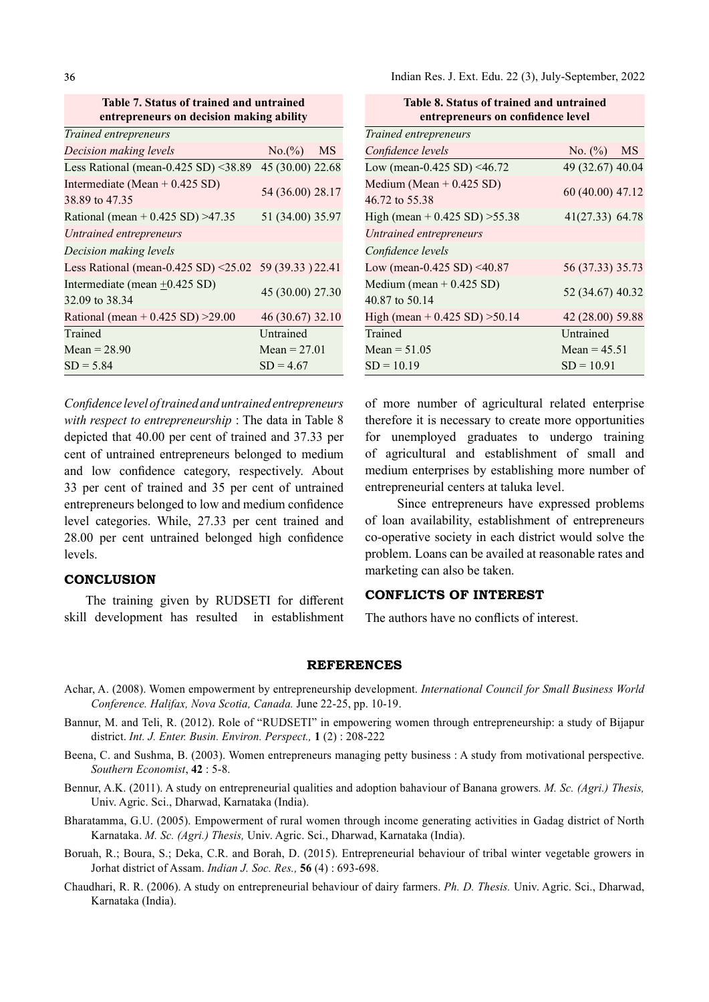36

Table 7. Status of trained and untrained entrepreneurs on decision making ability

| Trained entrepreneurs                                  |                  |  |
|--------------------------------------------------------|------------------|--|
| Decision making levels                                 | $No.(%)$ MS      |  |
| Less Rational (mean-0.425 SD) <38.89                   | 45 (30.00) 22.68 |  |
| Intermediate (Mean + $0.425$ SD)                       | 54 (36.00) 28.17 |  |
| 38.89 to 47.35                                         |                  |  |
| Rational (mean + $0.425$ SD) > 47.35                   | 51 (34.00) 35.97 |  |
| Untrained entrepreneurs                                |                  |  |
| Decision making levels                                 |                  |  |
| Less Rational (mean-0.425 SD) <25.02 59 (39.33 ) 22.41 |                  |  |
| Intermediate (mean $\pm$ 0.425 SD)                     | 45 (30.00) 27.30 |  |
| 32.09 to 38.34                                         |                  |  |
| Rational (mean + $0.425$ SD) $>29.00$                  | 46 (30.67) 32.10 |  |
| Trained                                                | Untrained        |  |
| Mean = $28.90$                                         | Mean = $27.01$   |  |
| $SD = 5.84$                                            | $SD = 4.67$      |  |

Confidence level of trained and untrained entrepreneurs with respect to entrepreneurship : The data in Table 8 depicted that 40.00 per cent of trained and 37.33 per cent of untrained entrepreneurs belonged to medium and low confidence category, respectively. About 33 per cent of trained and 35 per cent of untrained entrepreneurs belonged to low and medium confidence level categories. While, 27.33 per cent trained and 28.00 per cent untrained belonged high confidence levels.

### **CONCLUSION**

The training given by RUDSETI for different skill development has resulted in establishment Indian Res. J. Ext. Edu. 22 (3), July-September, 2022

| Table 8. Status of trained and untrained     |                  |  |  |  |  |  |
|----------------------------------------------|------------------|--|--|--|--|--|
| entrepreneurs on confidence level            |                  |  |  |  |  |  |
| Trained entrepreneurs                        |                  |  |  |  |  |  |
| Confidence levels                            | No. $(\%)$ MS    |  |  |  |  |  |
| Low (mean-0.425 SD) <46.72                   | 49 (32.67) 40.04 |  |  |  |  |  |
| Medium (Mean $+$ 0.425 SD)<br>46.72 to 55.38 | 60 (40.00) 47.12 |  |  |  |  |  |
| High (mean + $0.425$ SD) $>55.38$            | 41(27.33) 64.78  |  |  |  |  |  |
| Untrained entrepreneurs                      |                  |  |  |  |  |  |
| Confidence levels                            |                  |  |  |  |  |  |
| Low (mean-0.425 SD) <40.87                   | 56 (37.33) 35.73 |  |  |  |  |  |
| Medium (mean $+$ 0.425 SD)<br>40.87 to 50.14 | 52 (34.67) 40.32 |  |  |  |  |  |
| High (mean + $0.425$ SD) $>50.14$            | 42 (28.00) 59.88 |  |  |  |  |  |
| Trained                                      | Untrained        |  |  |  |  |  |
| Mean = $51.05$                               | Mean = $45.51$   |  |  |  |  |  |
| $SD = 10.19$                                 | $SD = 10.91$     |  |  |  |  |  |

of more number of agricultural related enterprise therefore it is necessary to create more opportunities for unemployed graduates to undergo training of agricultural and establishment of small and medium enterprises by establishing more number of entrepreneurial centers at taluka level.

 Since entrepreneurs have expressed problems of loan availability, establishment of entrepreneurs co-operative society in each district would solve the problem. Loans can be availed at reasonable rates and marketing can also be taken.

### CONFLICTS OF INTEREST

The authors have no conflicts of interest.

### REFERENCES

- Achar, A. (2008). Women empowerment by entrepreneurship development. International Council for Small Business World Conference. Halifax, Nova Scotia, Canada. June 22-25, pp. 10-19.
- Bannur, M. and Teli, R. (2012). Role of "RUDSETI" in empowering women through entrepreneurship: a study of Bijapur district. Int. J. Enter. Busin. Environ. Perspect., 1 (2): 208-222
- Beena, C. and Sushma, B. (2003). Women entrepreneurs managing petty business : A study from motivational perspective. Southern Economist, 42 : 5-8.
- Bennur, A.K. (2011). A study on entrepreneurial qualities and adoption bahaviour of Banana growers. M. Sc. (Agri.) Thesis, Univ. Agric. Sci., Dharwad, Karnataka (India).
- Bharatamma, G.U. (2005). Empowerment of rural women through income generating activities in Gadag district of North Karnataka. M. Sc. (Agri.) Thesis, Univ. Agric. Sci., Dharwad, Karnataka (India).
- Boruah, R.; Boura, S.; Deka, C.R. and Borah, D. (2015). Entrepreneurial behaviour of tribal winter vegetable growers in Jorhat district of Assam. Indian J. Soc. Res., 56 (4) : 693-698.
- Chaudhari, R. R. (2006). A study on entrepreneurial behaviour of dairy farmers. Ph. D. Thesis. Univ. Agric. Sci., Dharwad, Karnataka (India).